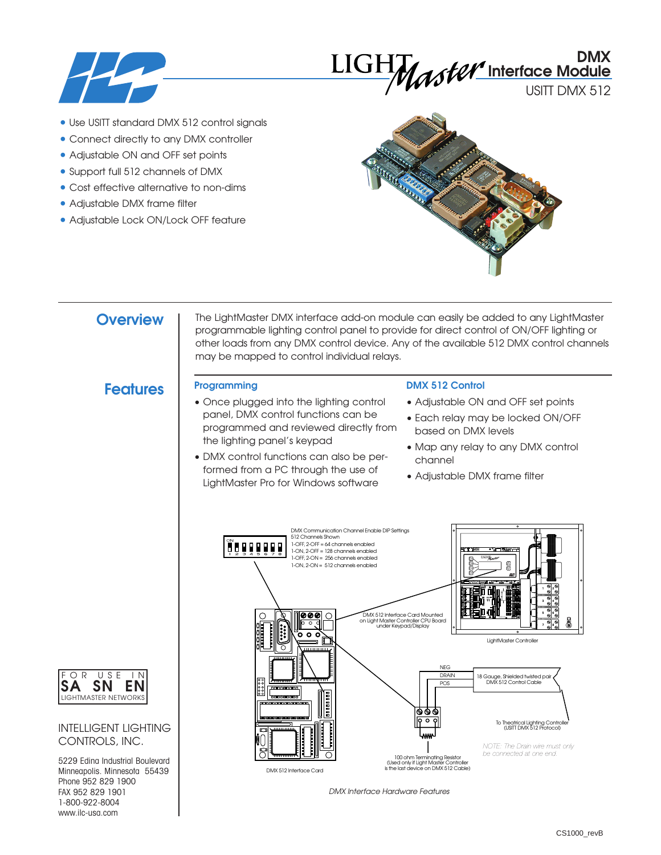

# **DMX Interface Module**

USITT DMX 512

- Use USITT standard DMX 512 control signals
- Connect directly to any DMX controller
- Adjustable ON and OFF set points
- Support full 512 channels of DMX
- Cost effective alternative to non-dims
- Adjustable DMX frame filter
- Adjustable Lock ON/Lock OFF feature



## **Overview**

The LightMaster DMX interface add-on module can easily be added to any LightMaster programmable lighting control panel to provide for direct control of ON/OFF lighting or other loads from any DMX control device. Any of the available 512 DMX control channels may be mapped to control individual relays.

# **Features Programming**

- Once plugged into the lighting control panel, DMX control functions can be programmed and reviewed directly from the lighting panel's keypad
- DMX control functions can also be performed from a PC through the use of LightMaster Pro for Windows software

### **DMX 512 Control**

- Adjustable ON and OFF set points
- Each relay may be locked ON/OFF based on DMX levels
- Map any relay to any DMX control channel
- Adjustable DMX frame filter



*DMX Interface Hardware Features*



### INTELLIGENT LIGHTING CONTROLS, INC.

5229 Edina Industrial Boulevard Minneapolis. Minnesota 55439 Phone 952 829 1900 FAX 952 829 1901 1-800-922-8004 www.ilc-usa.com